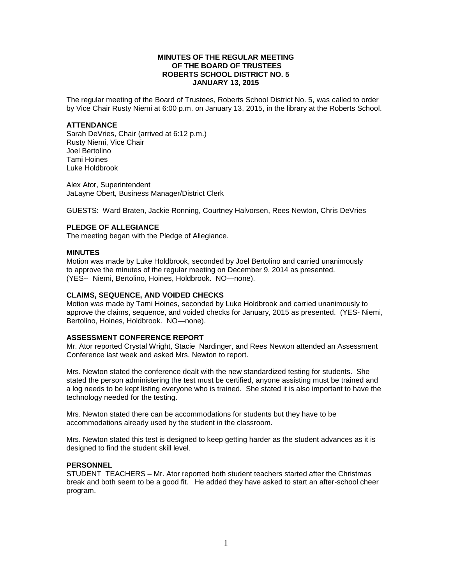# **MINUTES OF THE REGULAR MEETING OF THE BOARD OF TRUSTEES ROBERTS SCHOOL DISTRICT NO. 5 JANUARY 13, 2015**

The regular meeting of the Board of Trustees, Roberts School District No. 5, was called to order by Vice Chair Rusty Niemi at 6:00 p.m. on January 13, 2015, in the library at the Roberts School.

#### **ATTENDANCE**

Sarah DeVries, Chair (arrived at 6:12 p.m.) Rusty Niemi, Vice Chair Joel Bertolino Tami Hoines Luke Holdbrook

Alex Ator, Superintendent JaLayne Obert, Business Manager/District Clerk

GUESTS: Ward Braten, Jackie Ronning, Courtney Halvorsen, Rees Newton, Chris DeVries

# **PLEDGE OF ALLEGIANCE**

The meeting began with the Pledge of Allegiance.

#### **MINUTES**

Motion was made by Luke Holdbrook, seconded by Joel Bertolino and carried unanimously to approve the minutes of the regular meeting on December 9, 2014 as presented. (YES-- Niemi, Bertolino, Hoines, Holdbrook. NO—none).

### **CLAIMS, SEQUENCE, AND VOIDED CHECKS**

Motion was made by Tami Hoines, seconded by Luke Holdbrook and carried unanimously to approve the claims, sequence, and voided checks for January, 2015 as presented. (YES- Niemi, Bertolino, Hoines, Holdbrook. NO—none).

# **ASSESSMENT CONFERENCE REPORT**

Mr. Ator reported Crystal Wright, Stacie Nardinger, and Rees Newton attended an Assessment Conference last week and asked Mrs. Newton to report.

Mrs. Newton stated the conference dealt with the new standardized testing for students. She stated the person administering the test must be certified, anyone assisting must be trained and a log needs to be kept listing everyone who is trained. She stated it is also important to have the technology needed for the testing.

Mrs. Newton stated there can be accommodations for students but they have to be accommodations already used by the student in the classroom.

Mrs. Newton stated this test is designed to keep getting harder as the student advances as it is designed to find the student skill level.

# **PERSONNEL**

STUDENT TEACHERS – Mr. Ator reported both student teachers started after the Christmas break and both seem to be a good fit. He added they have asked to start an after-school cheer program.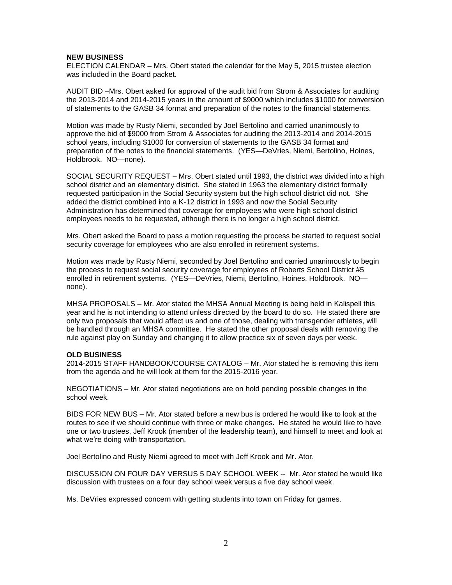### **NEW BUSINESS**

ELECTION CALENDAR – Mrs. Obert stated the calendar for the May 5, 2015 trustee election was included in the Board packet.

AUDIT BID –Mrs. Obert asked for approval of the audit bid from Strom & Associates for auditing the 2013-2014 and 2014-2015 years in the amount of \$9000 which includes \$1000 for conversion of statements to the GASB 34 format and preparation of the notes to the financial statements.

Motion was made by Rusty Niemi, seconded by Joel Bertolino and carried unanimously to approve the bid of \$9000 from Strom & Associates for auditing the 2013-2014 and 2014-2015 school years, including \$1000 for conversion of statements to the GASB 34 format and preparation of the notes to the financial statements. (YES—DeVries, Niemi, Bertolino, Hoines, Holdbrook. NO—none).

SOCIAL SECURITY REQUEST – Mrs. Obert stated until 1993, the district was divided into a high school district and an elementary district. She stated in 1963 the elementary district formally requested participation in the Social Security system but the high school district did not. She added the district combined into a K-12 district in 1993 and now the Social Security Administration has determined that coverage for employees who were high school district employees needs to be requested, although there is no longer a high school district.

Mrs. Obert asked the Board to pass a motion requesting the process be started to request social security coverage for employees who are also enrolled in retirement systems.

Motion was made by Rusty Niemi, seconded by Joel Bertolino and carried unanimously to begin the process to request social security coverage for employees of Roberts School District #5 enrolled in retirement systems. (YES—DeVries, Niemi, Bertolino, Hoines, Holdbrook. NO none).

MHSA PROPOSALS – Mr. Ator stated the MHSA Annual Meeting is being held in Kalispell this year and he is not intending to attend unless directed by the board to do so. He stated there are only two proposals that would affect us and one of those, dealing with transgender athletes, will be handled through an MHSA committee. He stated the other proposal deals with removing the rule against play on Sunday and changing it to allow practice six of seven days per week.

#### **OLD BUSINESS**

2014-2015 STAFF HANDBOOK/COURSE CATALOG – Mr. Ator stated he is removing this item from the agenda and he will look at them for the 2015-2016 year.

NEGOTIATIONS – Mr. Ator stated negotiations are on hold pending possible changes in the school week.

BIDS FOR NEW BUS – Mr. Ator stated before a new bus is ordered he would like to look at the routes to see if we should continue with three or make changes. He stated he would like to have one or two trustees, Jeff Krook (member of the leadership team), and himself to meet and look at what we're doing with transportation.

Joel Bertolino and Rusty Niemi agreed to meet with Jeff Krook and Mr. Ator.

DISCUSSION ON FOUR DAY VERSUS 5 DAY SCHOOL WEEK -- Mr. Ator stated he would like discussion with trustees on a four day school week versus a five day school week.

Ms. DeVries expressed concern with getting students into town on Friday for games.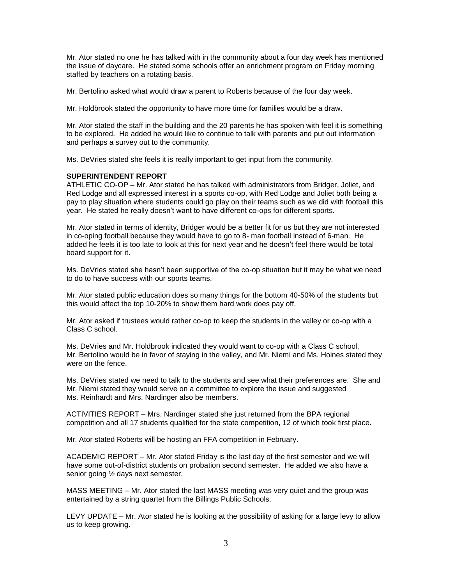Mr. Ator stated no one he has talked with in the community about a four day week has mentioned the issue of daycare. He stated some schools offer an enrichment program on Friday morning staffed by teachers on a rotating basis.

Mr. Bertolino asked what would draw a parent to Roberts because of the four day week.

Mr. Holdbrook stated the opportunity to have more time for families would be a draw.

Mr. Ator stated the staff in the building and the 20 parents he has spoken with feel it is something to be explored. He added he would like to continue to talk with parents and put out information and perhaps a survey out to the community.

Ms. DeVries stated she feels it is really important to get input from the community.

# **SUPERINTENDENT REPORT**

ATHLETIC CO-OP – Mr. Ator stated he has talked with administrators from Bridger, Joliet, and Red Lodge and all expressed interest in a sports co-op, with Red Lodge and Joliet both being a pay to play situation where students could go play on their teams such as we did with football this year. He stated he really doesn't want to have different co-ops for different sports.

Mr. Ator stated in terms of identity, Bridger would be a better fit for us but they are not interested in co-oping football because they would have to go to 8- man football instead of 6-man. He added he feels it is too late to look at this for next year and he doesn't feel there would be total board support for it.

Ms. DeVries stated she hasn't been supportive of the co-op situation but it may be what we need to do to have success with our sports teams.

Mr. Ator stated public education does so many things for the bottom 40-50% of the students but this would affect the top 10-20% to show them hard work does pay off.

Mr. Ator asked if trustees would rather co-op to keep the students in the valley or co-op with a Class C school.

Ms. DeVries and Mr. Holdbrook indicated they would want to co-op with a Class C school, Mr. Bertolino would be in favor of staying in the valley, and Mr. Niemi and Ms. Hoines stated they were on the fence.

Ms. DeVries stated we need to talk to the students and see what their preferences are. She and Mr. Niemi stated they would serve on a committee to explore the issue and suggested Ms. Reinhardt and Mrs. Nardinger also be members.

ACTIVITIES REPORT – Mrs. Nardinger stated she just returned from the BPA regional competition and all 17 students qualified for the state competition, 12 of which took first place.

Mr. Ator stated Roberts will be hosting an FFA competition in February.

ACADEMIC REPORT – Mr. Ator stated Friday is the last day of the first semester and we will have some out-of-district students on probation second semester. He added we also have a senior going ½ days next semester.

MASS MEETING – Mr. Ator stated the last MASS meeting was very quiet and the group was entertained by a string quartet from the Billings Public Schools.

LEVY UPDATE – Mr. Ator stated he is looking at the possibility of asking for a large levy to allow us to keep growing.